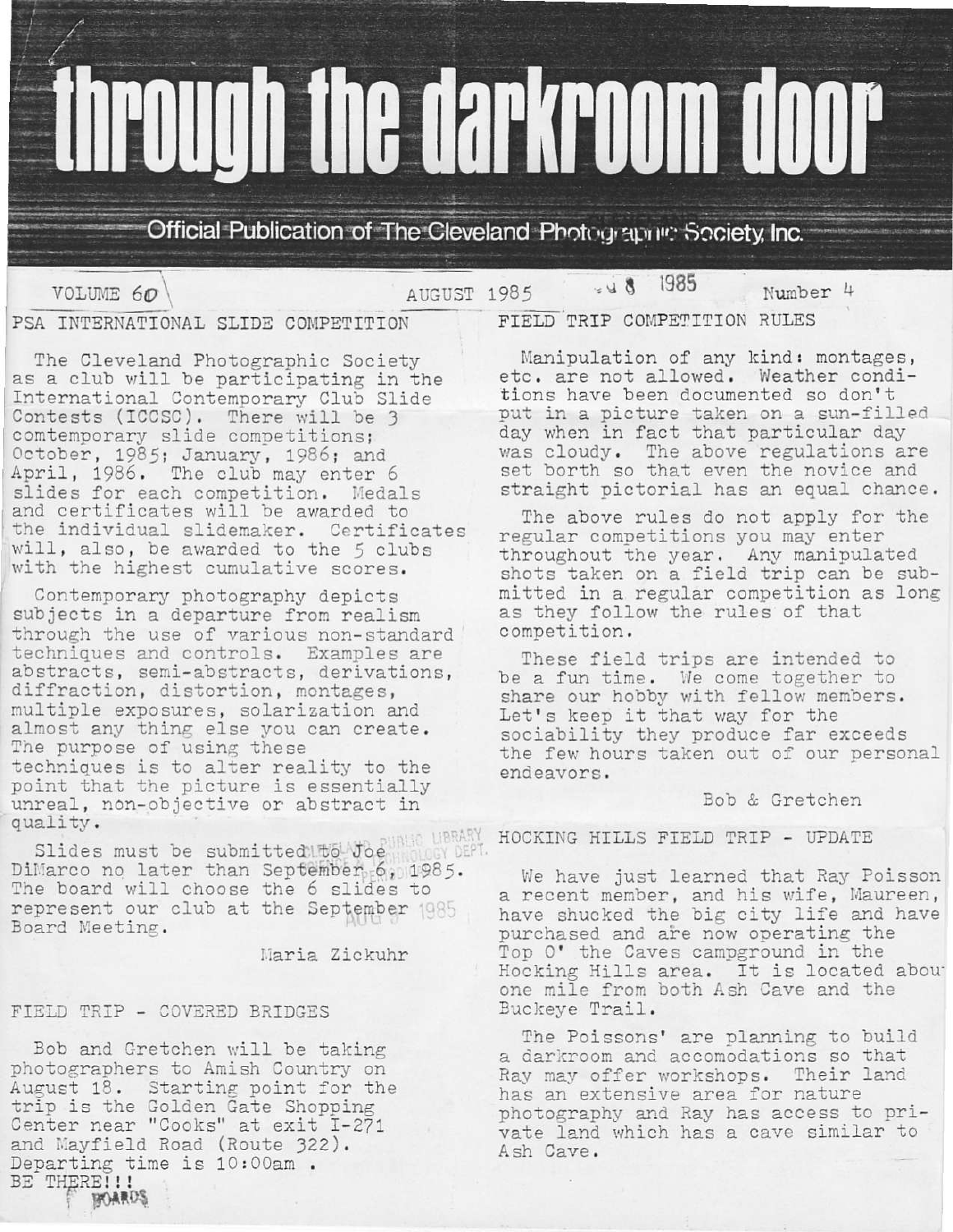# **through the darkroom door**

Official Publication of The Cleveland Photographe: Society, Inc.

VOLUME 60

 $848$ AUGUST 1985

1985 Number 4

PSA INTERNATIONAL SLIDE COMPETITION

The Cleveland Photographic Society as a club will be participating in the International Contemporary Club Slide Contests (ICCSC). There will be 3<br>comtemporary slide competitions; October, 1985; January, 1986; and April, 1986. The club may enter 6 slides for each competition. Medals and certificates will be awarded to the individual slidemaker. Certificates will, also, be awarded to the 5 clubs with the highest cumulative scores.

Contemporary photography depicts subjects in a departure from realism through the use of various non-standard techniques and controls. Examples are abstracts, semi-abstracts, derivations, diffraction, distortion, montages, multiple exposures, solarization and almost any thing else you can create. The purpose of using these techniques is to alter reality to the point that the picture is essentially unreal, non-objective or abstract in quality.

Slides must be submitted bowlogues LIBRARY DiMarco no later than September 6, 1985. The board will choose the 6 slides to represent our club at the September 1985 Board Meeting.

Maria Zickuhr

# FIELD TRIP - COVERED BRIDGES

Bob and Gretchen will be taking photographers to Amish Country on August 18. Starting point for the trip is the Golden Gate Shopping Center near "Cooks" at exit I-271 and Mayfield Road (Route 322). Departing time is 10:00am. BE THERE!!! **BOARDS** 

FIELD TRIP COMPETITION RULES

Manipulation of any kind: montages, etc. are not allowed. Weather conditions have been documented so don't put in a picture taken on a sun-filled day when in fact that particular day was cloudy. The above regulations are<br>set borth so that even the novice and straight pictorial has an equal chance.

The above rules do not apply for the regular competitions you may enter throughout the year. Any manipulated shots taken on a field trip can be submitted in a regular competition as long as they follow the rules of that competition.

These field trips are intended to be a fun time. We come together to share our hobby with fellow members. Let's keep it that way for the sociability they produce far exceeds the few hours taken out of our personal endeavors.

# Bob & Gretchen

HOCKING HILLS FIELD TRIP - UPDATE

We have just learned that Ray Poisson a recent member, and his wife, Maureen, have shucked the big city life and have purchased and are now operating the Top O' the Caves campground in the Hocking Hills area. It is located about one mile from both Ash Cave and the Buckeye Trail.

The Poissons' are planning to build a darkroom and accomodations so that Ray may offer workshops. Their land has an extensive area for nature photography and Ray has access to private land which has a cave similar to Ash Cave.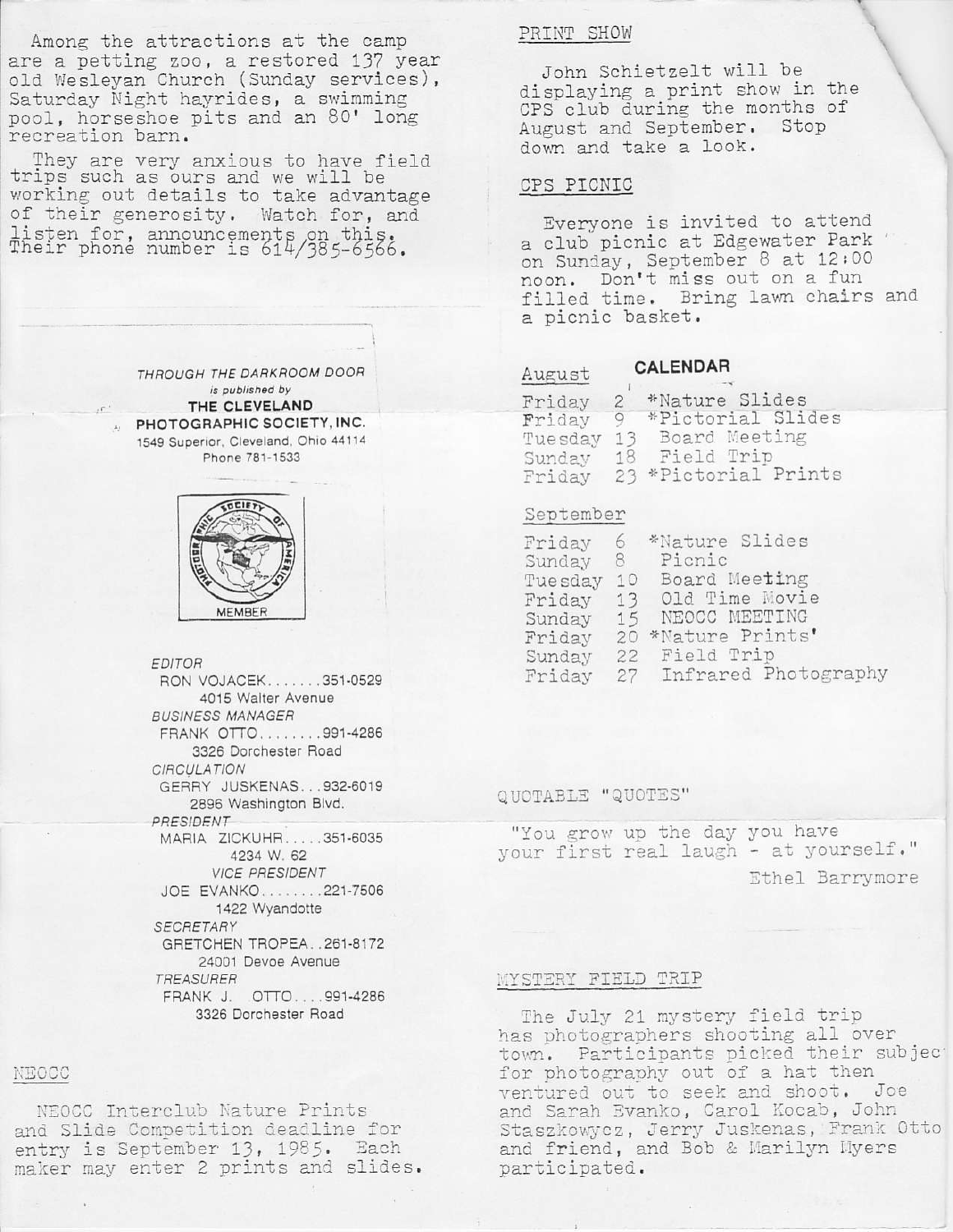Among the attractions at the camp are a petting zoo, a restored 137 year old Wesleyan Church (Sunday services), Saturday Night hayrides, a swimming pool, horseshoe pits and an 80' lon recreation barn.

They are very anxious to have field trips such as ours and we will be working out details to take advantage of their generosity. Watch for, and  $line$ :cton $f_0$ Their phone number is 614/385-6566.

> THROUGH THE DARKROOM DOOR is published by THE CLEVELANO PHOTOGRAPHIC SOCIETY, INC. 1549 Superior, Cleveland, Ohio 44114 Phone 781-1533



EDITOR

RON VOJACEK.......351-0529 4015 Walter Avenue **BUSINESS MANAGER** FRANK OTTO ......991-4286 3326 Dorchester Road **CIRCULATION** GERRY JUSKENAS, . . 932-5019 2896 Washington Blvd **PRESIDENT** MARIA Z|CKUHR.... 351-6035 4234 W. 62 VICE PRESlDENT JOE EVANKO. . . . .. .221-7506 1422 wyandotte **SECRETARY** GRETCHEN TROPEA, .261.8172 24001 Devoe Avenue **TREASURER** FRANK J. OTTO....991-4286 3326 Dorchester Road

#### $NECCC$

NEOCC Interclub Nature Prints and Slide Competition deadline for entry is September 13, 1985. Each maker may enter 2 prints and slides.

### PRINT SHOW

John Schietzelt will be displaying a print show in the cPS cluo durinq the monrhs of August and September. stop down and take a look.

#### CPS PICNIC

Everyone is invited to attend a club picnic at Edgewater Park on Sunday, September 8 at 12:00 noon. Don't miss out on a fun filled time. Bring lawn chairs and a picnic basket.

#### CALENDAR August

| Friday  | $\mathbf{2}$ | *Nature Slides       |
|---------|--------------|----------------------|
| Friday  | 9            | *Pictorial Slides    |
| Tuesday |              | 13 Board Meeting     |
| Sunday  | 18           | Field Trip           |
| Friday  |              | 23 *Pictorial Prints |

#### September

| Friday  | 6  | *Nature Slides          |
|---------|----|-------------------------|
| Sunday  | 8  | Picnic                  |
| Tuesday | 10 | Board Meeting           |
| Friday  | 13 | Old Time Movie          |
| Sunday  | 15 | NEOCC MEETING           |
| Friday  | 20 | *Nature Prints'         |
| Sunday  | 22 | Field Trip              |
| Friday  |    | 27 Infrared Photography |

# QUOTABLE "QUOTES"

"You grow up the day you have your first real laugh - at yourself." Ethel Barrymore

#### MYSTERY FIELD TRIP

The July 21 mystery field trip has photographers shooting all over town. Participants picked their subject for photography out of a hat then ventured out to seek and shoot. Joe and Sarah Evanko, Carol Kocab, John Staszkowycz, Jerry Juskenas, Frank Otto and friend, and Bob & Marilyn Myers pariicipated.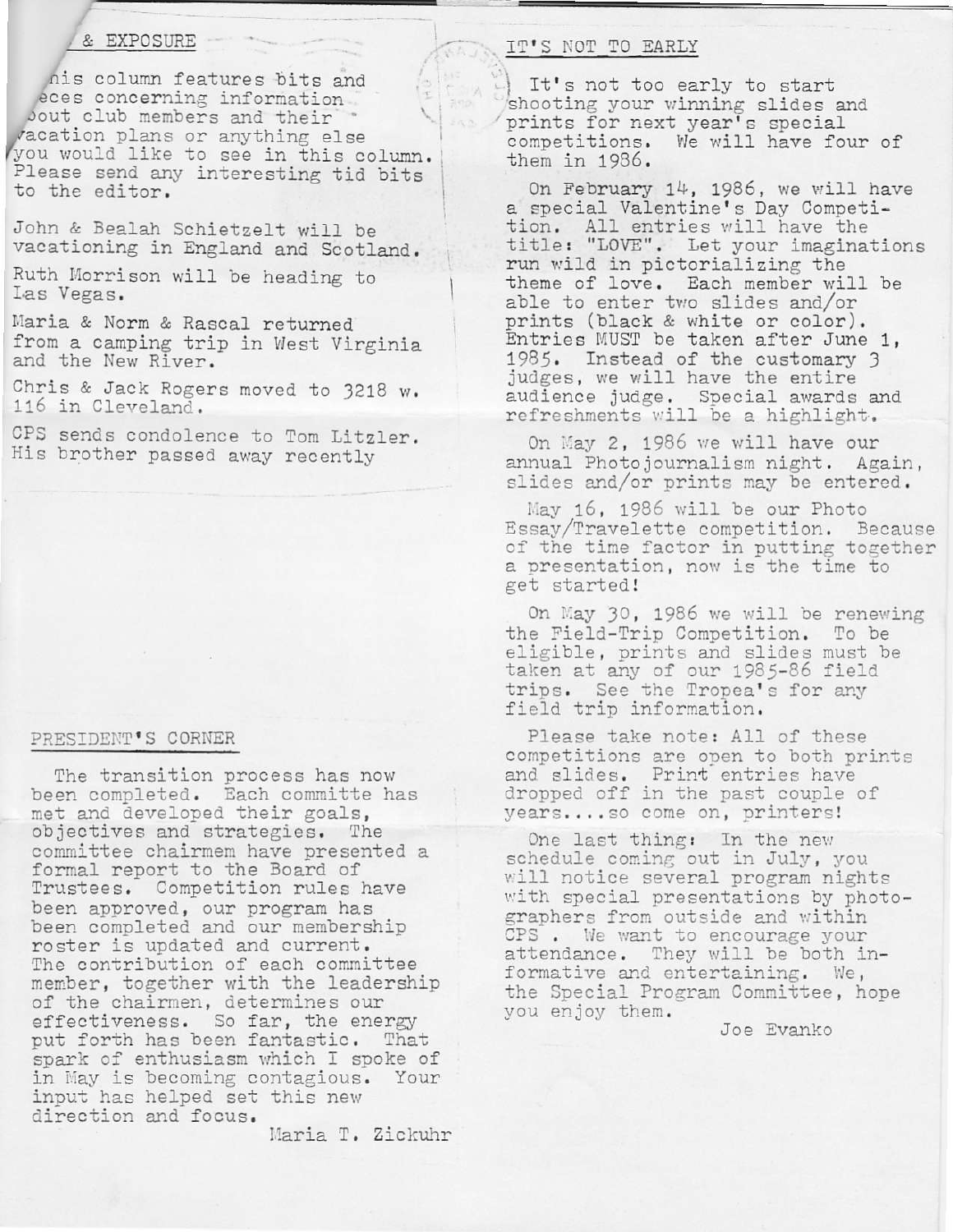## & EXPOSURE

nis column features bits and eces concerning information bout club members and their vacation plans or anything else you would like to see in this column. Please send any interesting tid bits to the editor.

John & Bealah Schietzelt will be vacationing in England and Scotland.

Ruth Morrison will be heading to Las Vegas.

Maria & Norm & Rascal returned from a camping trip in West Virginia and the New River.

Chris & Jack Rogers moved to 3218 w. 116 in Cleveland.

CPS sends condolence to Tom Litzler. His brother passed away recently

### PRESIDENT'S CORNER

The transition process has now been completed. Each committe has met and developed their goals, objectives and strategies. The committee chairmem have presented a formal report to the Board of Trustees. Competition rules have been approved, our program has been completed and our membership roster is updated and current. The contribution of each committee member, together with the leadership of the chairmen, determines our effectiveness. So far, the energy put forth has been fantastic. That spark of enthusiasm which I spoke of in May is becoming contagious. Your input has helped set this new direction and focus.

Maria T. Zickuhr

# IT'S NOT TO EARLY

It's not too early to start shooting your winning slides and prints for next year's special competitions. We will have four of them in 1986.

On February 14, 1986, we will have a special Valentine's Day Competition. All entries will have the title: "LOVE". Let your imaginations run wild in pictorializing the theme of love. Each member will be able to enter two slides and/or prints (black & white or color). Entries MUST be taken after June 1, 1985. Instead of the customary 3 judges, we will have the entire audience judge. Special awards and refreshments will be a highlight.

On May 2, 1986 we will have our annual Photojournalism night. Again, slides and/or prints may be entered.

May 16, 1986 will be our Photo Essay/Travelette competition. Because of the time factor in putting together a presentation, now is the time to get started!

On May 30, 1986 we will be renewing the Field-Trip Competition. To be eligible, prints and slides must be taken at any of our 1985-86 field trips. See the Tropea's for any field trip information.

Please take note: All of these competitions are open to both prints and slides. Print entries have dropped off in the past couple of years.... so come on, printers!

One last thing: In the new schedule coming out in July, you will notice several program nights with special presentations by photographers from outside and within CPS. We want to encourage your attendance. They will be both informative and entertaining. We, the Special Program Committee, hope you enjoy them.

Joe Evanko